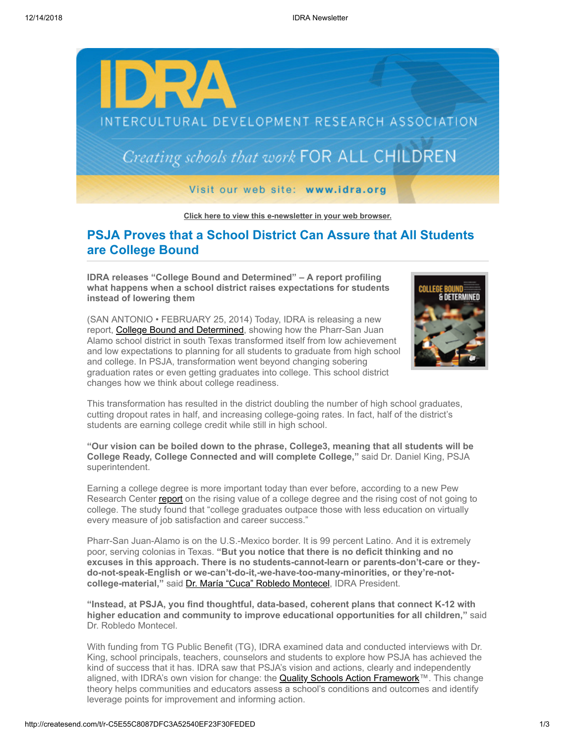

**[Click here to view this e-newsletter in your web browser.](http://newsletter.impulsedevelopment.com/t/r-e-pdisjl-l-r/)**

# **PSJA Proves that a School District Can Assure that All Students are College Bound**

**IDRA releases "College Bound and Determined" – A report profiling what happens when a school district raises expectations for students instead of lowering them**



(SAN ANTONIO • FEBRUARY 25, 2014) Today, IDRA is releasing a new report, [College Bound and Determined,](http://idra.createsend1.com/t/r-l-pdisjl-l-i/) showing how the Pharr-San Juan Alamo school district in south Texas transformed itself from low achievement and low expectations to planning for all students to graduate from high school and college. In PSJA, transformation went beyond changing sobering graduation rates or even getting graduates into college. This school district changes how we think about college readiness.

This transformation has resulted in the district doubling the number of high school graduates, cutting dropout rates in half, and increasing college-going rates. In fact, half of the district's students are earning college credit while still in high school.

**"Our vision can be boiled down to the phrase, College3, meaning that all students will be College Ready, College Connected and will complete College,"** said Dr. Daniel King, PSJA superintendent.

Earning a college degree is more important today than ever before, according to a new Pew Research Center [report](http://idra.createsend1.com/t/r-l-pdisjl-l-d/) on the rising value of a college degree and the rising cost of not going to college. The study found that "college graduates outpace those with less education on virtually every measure of job satisfaction and career success."

Pharr-San Juan-Alamo is on the U.S.-Mexico border. It is 99 percent Latino. And it is extremely poor, serving colonias in Texas. **"But you notice that there is no deficit thinking and no excuses in this approach. There is no students-cannot-learn or parents-don't-care or theydo-not-speak-English or we-can't-do-it,-we-have-too-many-minorities, or they're-notcollege-material,"** said [Dr. María "Cuca" Robledo Montecel,](http://idra.createsend1.com/t/r-l-pdisjl-l-o/) IDRA President.

**"Instead, at PSJA, you find thoughtful, data-based, coherent plans that connect K-12 with higher education and community to improve educational opportunities for all children,"** said Dr. Robledo Montecel.

With funding from TG Public Benefit (TG), IDRA examined data and conducted interviews with Dr. King, school principals, teachers, counselors and students to explore how PSJA has achieved the kind of success that it has. IDRA saw that PSJA's vision and actions, clearly and independently aligned, with IDRA's own vision for change: the **Quality Schools Action Framework**™. This change theory helps communities and educators assess a school's conditions and outcomes and identify leverage points for improvement and informing action.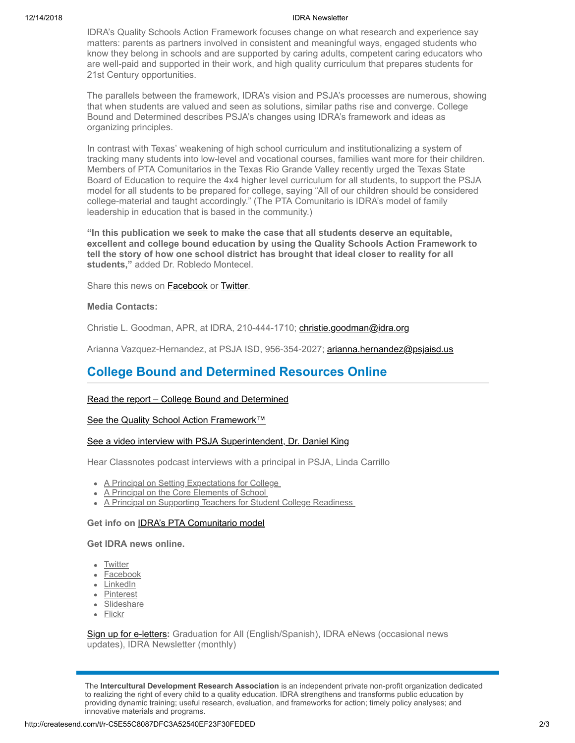#### 12/14/2018 IDRA Newsletter

IDRA's Quality Schools Action Framework focuses change on what research and experience say matters: parents as partners involved in consistent and meaningful ways, engaged students who know they belong in schools and are supported by caring adults, competent caring educators who are well-paid and supported in their work, and high quality curriculum that prepares students for 21st Century opportunities.

The parallels between the framework, IDRA's vision and PSJA's processes are numerous, showing that when students are valued and seen as solutions, similar paths rise and converge. College Bound and Determined describes PSJA's changes using IDRA's framework and ideas as organizing principles.

In contrast with Texas' weakening of high school curriculum and institutionalizing a system of tracking many students into low-level and vocational courses, families want more for their children. Members of PTA Comunitarios in the Texas Rio Grande Valley recently urged the Texas State Board of Education to require the 4x4 higher level curriculum for all students, to support the PSJA model for all students to be prepared for college, saying "All of our children should be considered college-material and taught accordingly." (The PTA Comunitario is IDRA's model of family leadership in education that is based in the community.)

**"In this publication we seek to make the case that all students deserve an equitable, excellent and college bound education by using the Quality Schools Action Framework to tell the story of how one school district has brought that ideal closer to reality for all students,"** added Dr. Robledo Montecel.

Share this news on [Facebook](http://createsend.com/t/r-fb-pdisjl-l-jl/?act=wv) or [Twitter.](http://idra.createsend1.com/t/r-tw-pdisjl-l-jr/)

### **Media Contacts:**

Christie L. Goodman, APR, at IDRA, 210-444-1710; [christie.goodman@idra.org](mailto:christie.goodman@idra.org?subject=College%20Bound%20and%20Determined)

Arianna Vazquez-Hernandez, at PSJA ISD, 956-354-2027; [arianna.hernandez@psjaisd.us](mailto:arianna.hernandez@psjaisd.us?subject=College%20Bound%20and%20Determined)

## **College Bound and Determined Resources Online**

#### [Read the report – College Bound and Determined](http://idra.createsend1.com/t/r-l-pdisjl-l-n/)

### [See the Quality School Action Framework™](http://idra.createsend1.com/t/r-l-pdisjl-l-p/)

### [See a video interview with PSJA Superintendent, Dr. Daniel King](http://idra.createsend1.com/t/r-l-pdisjl-l-x/)

Hear Classnotes podcast interviews with a principal in PSJA, Linda Carrillo

- [A Principal on Setting Expectations for College](http://idra.createsend1.com/t/r-l-pdisjl-l-m/)
- [A Principal on the Core Elements of School](http://idra.createsend1.com/t/r-l-pdisjl-l-c/)
- A Principal on Supporting Teachers for Student College Readiness

### **Get info on** [IDRA's PTA Comunitario model](http://idra.createsend1.com/t/r-l-pdisjl-l-a/)

## **Get IDRA news online.**

- [Twitter](http://idra.createsend1.com/t/r-l-pdisjl-l-f/)
- **[Facebook](http://idra.createsend1.com/t/r-l-pdisjl-l-z/)**
- [LinkedIn](http://idra.createsend1.com/t/r-l-pdisjl-l-v/)
- [Pinterest](http://idra.createsend1.com/t/r-l-pdisjl-l-e/)
- [Slideshare](http://idra.createsend1.com/t/r-l-pdisjl-l-s/)
- [Flickr](http://idra.createsend1.com/t/r-l-pdisjl-l-g/)

[Sign up for e-letters](http://idra.createsend1.com/t/r-l-pdisjl-l-yh/)**:** Graduation for All (English/Spanish), IDRA eNews (occasional news updates), IDRA Newsletter (monthly)

The **Intercultural Development Research Association** is an independent private non-profit organization dedicated to realizing the right of every child to a quality education. IDRA strengthens and transforms public education by providing dynamic training; useful research, evaluation, and frameworks for action; timely policy analyses; and innovative materials and programs.